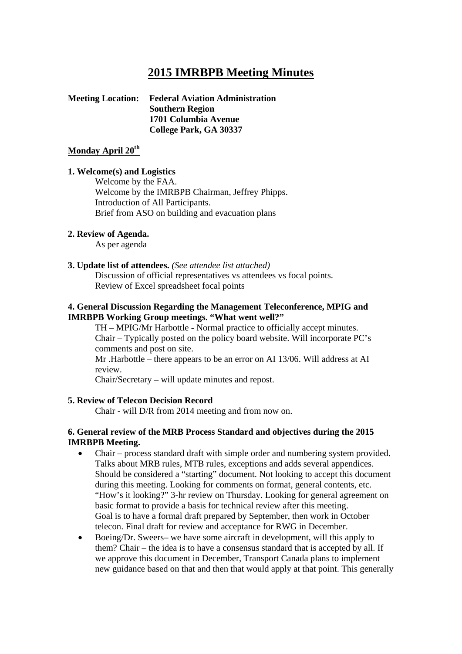# **2015 IMRBPB Meeting Minutes**

#### **Meeting Location: Federal Aviation Administration Southern Region 1701 Columbia Avenue College Park, GA 30337**

#### Monday April 20<sup>th</sup>

#### **1. Welcome(s) and Logistics**

Welcome by the FAA. Welcome by the IMRBPB Chairman, Jeffrey Phipps. Introduction of All Participants. Brief from ASO on building and evacuation plans

#### **2. Review of Agenda.**

As per agenda

#### **3. Update list of attendees.** *(See attendee list attached)*

Discussion of official representatives vs attendees vs focal points. Review of Excel spreadsheet focal points

#### **4. General Discussion Regarding the Management Teleconference, MPIG and IMRBPB Working Group meetings. "What went well?"**

TH – MPIG/Mr Harbottle - Normal practice to officially accept minutes. Chair – Typically posted on the policy board website. Will incorporate PC's comments and post on site.

Mr .Harbottle – there appears to be an error on AI 13/06. Will address at AI review.

Chair/Secretary – will update minutes and repost.

#### **5. Review of Telecon Decision Record**

Chair - will D/R from 2014 meeting and from now on.

#### **6. General review of the MRB Process Standard and objectives during the 2015 IMRBPB Meeting.**

- Chair process standard draft with simple order and numbering system provided. Talks about MRB rules, MTB rules, exceptions and adds several appendices. Should be considered a "starting" document. Not looking to accept this document during this meeting. Looking for comments on format, general contents, etc. "How's it looking?" 3-hr review on Thursday. Looking for general agreement on basic format to provide a basis for technical review after this meeting. Goal is to have a formal draft prepared by September, then work in October telecon. Final draft for review and acceptance for RWG in December.
- Boeing/Dr. Sweers– we have some aircraft in development, will this apply to them? Chair – the idea is to have a consensus standard that is accepted by all. If we approve this document in December, Transport Canada plans to implement new guidance based on that and then that would apply at that point. This generally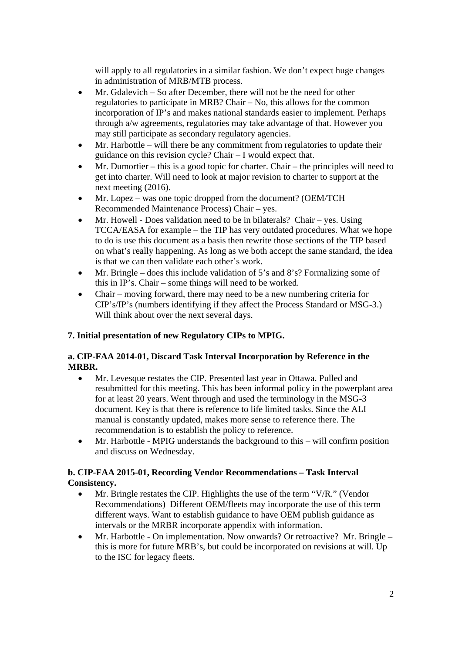will apply to all regulatories in a similar fashion. We don't expect huge changes in administration of MRB/MTB process.

- Mr. Gdalevich So after December, there will not be the need for other regulatories to participate in MRB? Chair – No, this allows for the common incorporation of IP's and makes national standards easier to implement. Perhaps through a/w agreements, regulatories may take advantage of that. However you may still participate as secondary regulatory agencies.
- Mr. Harbottle will there be any commitment from regulatories to update their guidance on this revision cycle? Chair – I would expect that.
- Mr. Dumortier this is a good topic for charter. Chair the principles will need to get into charter. Will need to look at major revision to charter to support at the next meeting (2016).
- Mr. Lopez was one topic dropped from the document? (OEM/TCH Recommended Maintenance Process) Chair – yes.
- Mr. Howell Does validation need to be in bilaterals? Chair yes. Using TCCA/EASA for example – the TIP has very outdated procedures. What we hope to do is use this document as a basis then rewrite those sections of the TIP based on what's really happening. As long as we both accept the same standard, the idea is that we can then validate each other's work.
- Mr. Bringle does this include validation of 5's and 8's? Formalizing some of this in IP's. Chair – some things will need to be worked.
- Chair moving forward, there may need to be a new numbering criteria for CIP's/IP's (numbers identifying if they affect the Process Standard or MSG-3.) Will think about over the next several days.

# **7. Initial presentation of new Regulatory CIPs to MPIG.**

### **a. CIP-FAA 2014-01, Discard Task Interval Incorporation by Reference in the MRBR.**

- Mr. Levesque restates the CIP. Presented last year in Ottawa. Pulled and resubmitted for this meeting. This has been informal policy in the powerplant area for at least 20 years. Went through and used the terminology in the MSG-3 document. Key is that there is reference to life limited tasks. Since the ALI manual is constantly updated, makes more sense to reference there. The recommendation is to establish the policy to reference.
- Mr. Harbottle MPIG understands the background to this will confirm position and discuss on Wednesday.

### **b. CIP-FAA 2015-01, Recording Vendor Recommendations – Task Interval Consistency.**

- Mr. Bringle restates the CIP. Highlights the use of the term "V/R." (Vendor Recommendations) Different OEM/fleets may incorporate the use of this term different ways. Want to establish guidance to have OEM publish guidance as intervals or the MRBR incorporate appendix with information.
- Mr. Harbottle On implementation. Now onwards? Or retroactive? Mr. Bringle this is more for future MRB's, but could be incorporated on revisions at will. Up to the ISC for legacy fleets.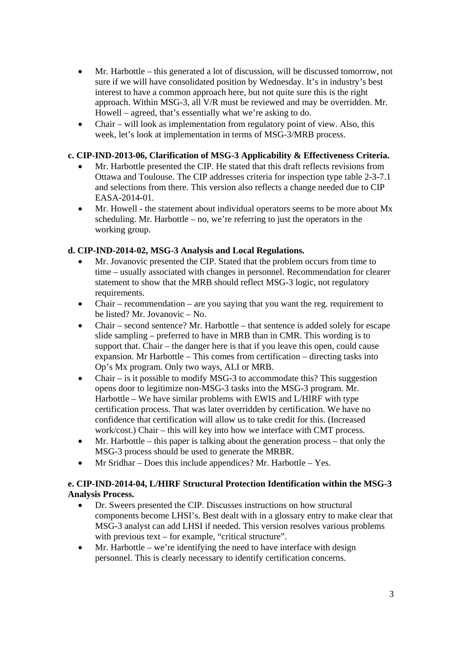- Mr. Harbottle this generated a lot of discussion, will be discussed tomorrow, not sure if we will have consolidated position by Wednesday. It's in industry's best interest to have a common approach here, but not quite sure this is the right approach. Within MSG-3, all V/R must be reviewed and may be overridden. Mr. Howell – agreed, that's essentially what we're asking to do.
- Chair will look as implementation from regulatory point of view. Also, this week, let's look at implementation in terms of MSG-3/MRB process.

### **c. CIP-IND-2013-06, Clarification of MSG-3 Applicability & Effectiveness Criteria.**

- Mr. Harbottle presented the CIP. He stated that this draft reflects revisions from Ottawa and Toulouse. The CIP addresses criteria for inspection type table 2-3-7.1 and selections from there. This version also reflects a change needed due to CIP EASA-2014-01.
- Mr. Howell the statement about individual operators seems to be more about Mx scheduling. Mr. Harbottle – no, we're referring to just the operators in the working group.

### **d. CIP-IND-2014-02, MSG-3 Analysis and Local Regulations.**

- Mr. Jovanovic presented the CIP. Stated that the problem occurs from time to time – usually associated with changes in personnel. Recommendation for clearer statement to show that the MRB should reflect MSG-3 logic, not regulatory requirements.
- Chair recommendation are you saying that you want the reg. requirement to be listed? Mr. Jovanovic – No.
- Chair second sentence? Mr. Harbottle that sentence is added solely for escape slide sampling – preferred to have in MRB than in CMR. This wording is to support that. Chair – the danger here is that if you leave this open, could cause expansion. Mr Harbottle – This comes from certification – directing tasks into Op's Mx program. Only two ways, ALI or MRB.
- Chair is it possible to modify MSG-3 to accommodate this? This suggestion opens door to legitimize non-MSG-3 tasks into the MSG-3 program. Mr. Harbottle – We have similar problems with EWIS and L/HIRF with type certification process. That was later overridden by certification. We have no confidence that certification will allow us to take credit for this. (Increased work/cost.) Chair – this will key into how we interface with CMT process.
- $\bullet$  Mr. Harbottle this paper is talking about the generation process that only the MSG-3 process should be used to generate the MRBR.
- Mr Sridhar Does this include appendices? Mr. Harbottle Yes.

### **e. CIP-IND-2014-04, L/HIRF Structural Protection Identification within the MSG-3 Analysis Process.**

- Dr. Sweers presented the CIP. Discusses instructions on how structural components become LHSI's. Best dealt with in a glossary entry to make clear that MSG-3 analyst can add LHSI if needed. This version resolves various problems with previous text – for example, "critical structure".
- Mr. Harbottle we're identifying the need to have interface with design personnel. This is clearly necessary to identify certification concerns.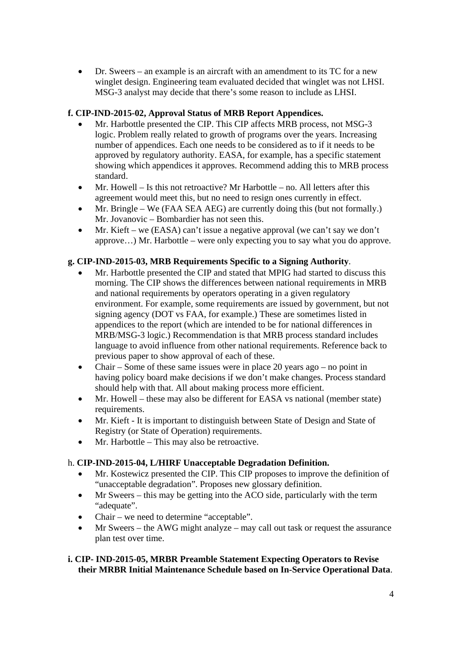Dr. Sweers – an example is an aircraft with an amendment to its TC for a new winglet design. Engineering team evaluated decided that winglet was not LHSI. MSG-3 analyst may decide that there's some reason to include as LHSI.

# **f. CIP-IND-2015-02, Approval Status of MRB Report Appendices.**

- Mr. Harbottle presented the CIP. This CIP affects MRB process, not MSG-3 logic. Problem really related to growth of programs over the years. Increasing number of appendices. Each one needs to be considered as to if it needs to be approved by regulatory authority. EASA, for example, has a specific statement showing which appendices it approves. Recommend adding this to MRB process standard.
- Mr. Howell Is this not retroactive? Mr Harbottle no. All letters after this agreement would meet this, but no need to resign ones currently in effect.
- Mr. Bringle We (FAA SEA AEG) are currently doing this (but not formally.) Mr. Jovanovic – Bombardier has not seen this.
- $\bullet$  Mr. Kieft we (EASA) can't issue a negative approval (we can't say we don't approve…) Mr. Harbottle – were only expecting you to say what you do approve.

# **g. CIP-IND-2015-03, MRB Requirements Specific to a Signing Authority**.

- Mr. Harbottle presented the CIP and stated that MPIG had started to discuss this morning. The CIP shows the differences between national requirements in MRB and national requirements by operators operating in a given regulatory environment. For example, some requirements are issued by government, but not signing agency (DOT vs FAA, for example.) These are sometimes listed in appendices to the report (which are intended to be for national differences in MRB/MSG-3 logic.) Recommendation is that MRB process standard includes language to avoid influence from other national requirements. Reference back to previous paper to show approval of each of these.
- Chair Some of these same issues were in place 20 years ago no point in having policy board make decisions if we don't make changes. Process standard should help with that. All about making process more efficient.
- Mr. Howell these may also be different for EASA vs national (member state) requirements.
- Mr. Kieft It is important to distinguish between State of Design and State of Registry (or State of Operation) requirements.
- Mr. Harbottle This may also be retroactive.

# h. **CIP-IND-2015-04, L/HIRF Unacceptable Degradation Definition.**

- Mr. Kostewicz presented the CIP. This CIP proposes to improve the definition of "unacceptable degradation". Proposes new glossary definition.
- Mr Sweers this may be getting into the ACO side, particularly with the term "adequate".
- Chair we need to determine "acceptable".
- Mr Sweers the AWG might analyze may call out task or request the assurance plan test over time.

### **i. CIP- IND-2015-05, MRBR Preamble Statement Expecting Operators to Revise their MRBR Initial Maintenance Schedule based on In-Service Operational Data**.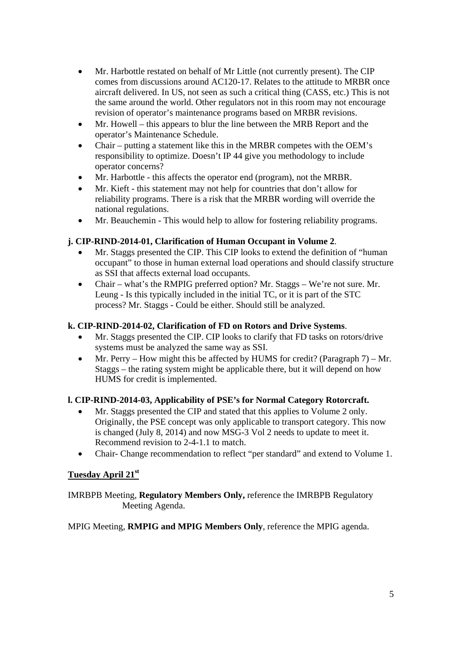- Mr. Harbottle restated on behalf of Mr Little (not currently present). The CIP comes from discussions around AC120-17. Relates to the attitude to MRBR once aircraft delivered. In US, not seen as such a critical thing (CASS, etc.) This is not the same around the world. Other regulators not in this room may not encourage revision of operator's maintenance programs based on MRBR revisions.
- Mr. Howell this appears to blur the line between the MRB Report and the operator's Maintenance Schedule.
- Chair putting a statement like this in the MRBR competes with the OEM's responsibility to optimize. Doesn't IP 44 give you methodology to include operator concerns?
- Mr. Harbottle this affects the operator end (program), not the MRBR.
- Mr. Kieft this statement may not help for countries that don't allow for reliability programs. There is a risk that the MRBR wording will override the national regulations.
- Mr. Beauchemin This would help to allow for fostering reliability programs.

### **j. CIP-RIND-2014-01, Clarification of Human Occupant in Volume 2**.

- Mr. Staggs presented the CIP. This CIP looks to extend the definition of "human occupant" to those in human external load operations and should classify structure as SSI that affects external load occupants.
- Chair what's the RMPIG preferred option? Mr. Staggs We're not sure. Mr. Leung - Is this typically included in the initial TC, or it is part of the STC process? Mr. Staggs - Could be either. Should still be analyzed.

#### **k. CIP-RIND-2014-02, Clarification of FD on Rotors and Drive Systems**.

- Mr. Staggs presented the CIP. CIP looks to clarify that FD tasks on rotors/drive systems must be analyzed the same way as SSI.
- Mr. Perry How might this be affected by HUMS for credit? (Paragraph 7) Mr. Staggs – the rating system might be applicable there, but it will depend on how HUMS for credit is implemented.

# **l. CIP-RIND-2014-03, Applicability of PSE's for Normal Category Rotorcraft.**

- Mr. Staggs presented the CIP and stated that this applies to Volume 2 only. Originally, the PSE concept was only applicable to transport category. This now is changed (July 8, 2014) and now MSG-3 Vol 2 needs to update to meet it. Recommend revision to 2-4-1.1 to match.
- Chair- Change recommendation to reflect "per standard" and extend to Volume 1.

# **Tuesday April 21st**

IMRBPB Meeting, **Regulatory Members Only,** reference the IMRBPB Regulatory Meeting Agenda.

MPIG Meeting, **RMPIG and MPIG Members Only**, reference the MPIG agenda.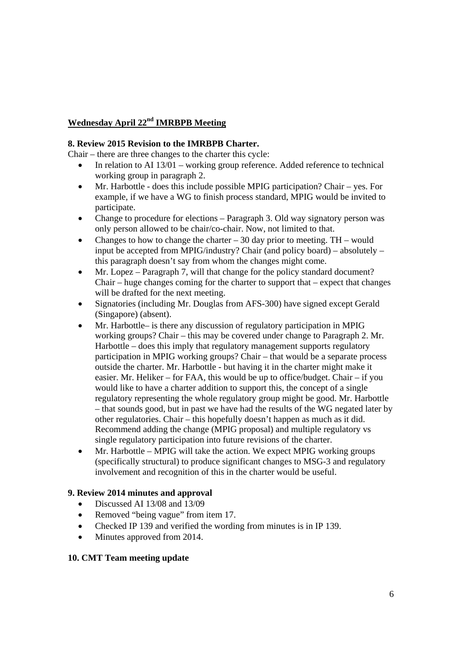# **Wednesday April 22nd IMRBPB Meeting**

#### **8. Review 2015 Revision to the IMRBPB Charter.**

Chair – there are three changes to the charter this cycle:

- In relation to AI 13/01 working group reference. Added reference to technical working group in paragraph 2.
- Mr. Harbottle does this include possible MPIG participation? Chair yes. For example, if we have a WG to finish process standard, MPIG would be invited to participate.
- Change to procedure for elections Paragraph 3. Old way signatory person was only person allowed to be chair/co-chair. Now, not limited to that.
- Changes to how to change the charter  $-30$  day prior to meeting. TH would input be accepted from MPIG/industry? Chair (and policy board) – absolutely – this paragraph doesn't say from whom the changes might come.
- Mr. Lopez Paragraph 7, will that change for the policy standard document? Chair – huge changes coming for the charter to support that – expect that changes will be drafted for the next meeting.
- Signatories (including Mr. Douglas from AFS-300) have signed except Gerald (Singapore) (absent).
- Mr. Harbottle– is there any discussion of regulatory participation in MPIG working groups? Chair – this may be covered under change to Paragraph 2. Mr. Harbottle – does this imply that regulatory management supports regulatory participation in MPIG working groups? Chair – that would be a separate process outside the charter. Mr. Harbottle - but having it in the charter might make it easier. Mr. Heliker – for FAA, this would be up to office/budget. Chair – if you would like to have a charter addition to support this, the concept of a single regulatory representing the whole regulatory group might be good. Mr. Harbottle – that sounds good, but in past we have had the results of the WG negated later by other regulatories. Chair – this hopefully doesn't happen as much as it did. Recommend adding the change (MPIG proposal) and multiple regulatory vs single regulatory participation into future revisions of the charter.
- Mr. Harbottle MPIG will take the action. We expect MPIG working groups (specifically structural) to produce significant changes to MSG-3 and regulatory involvement and recognition of this in the charter would be useful.

# **9. Review 2014 minutes and approval**

- Discussed AI 13/08 and 13/09
- Removed "being vague" from item 17.
- Checked IP 139 and verified the wording from minutes is in IP 139.
- Minutes approved from 2014.

#### **10. CMT Team meeting update**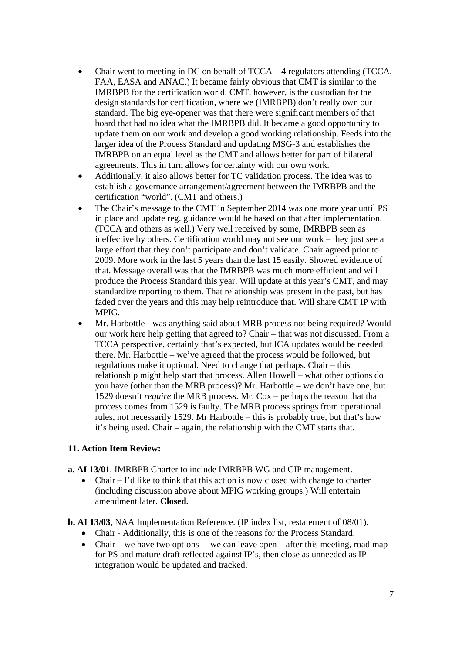- Chair went to meeting in DC on behalf of TCCA 4 regulators attending (TCCA, FAA, EASA and ANAC.) It became fairly obvious that CMT is similar to the IMRBPB for the certification world. CMT, however, is the custodian for the design standards for certification, where we (IMRBPB) don't really own our standard. The big eye-opener was that there were significant members of that board that had no idea what the IMRBPB did. It became a good opportunity to update them on our work and develop a good working relationship. Feeds into the larger idea of the Process Standard and updating MSG-3 and establishes the IMRBPB on an equal level as the CMT and allows better for part of bilateral agreements. This in turn allows for certainty with our own work.
- Additionally, it also allows better for TC validation process. The idea was to establish a governance arrangement/agreement between the IMRBPB and the certification "world". (CMT and others.)
- The Chair's message to the CMT in September 2014 was one more year until PS in place and update reg. guidance would be based on that after implementation. (TCCA and others as well.) Very well received by some, IMRBPB seen as ineffective by others. Certification world may not see our work – they just see a large effort that they don't participate and don't validate. Chair agreed prior to 2009. More work in the last 5 years than the last 15 easily. Showed evidence of that. Message overall was that the IMRBPB was much more efficient and will produce the Process Standard this year. Will update at this year's CMT, and may standardize reporting to them. That relationship was present in the past, but has faded over the years and this may help reintroduce that. Will share CMT IP with **MPIG.**
- Mr. Harbottle was anything said about MRB process not being required? Would our work here help getting that agreed to? Chair – that was not discussed. From a TCCA perspective, certainly that's expected, but ICA updates would be needed there. Mr. Harbottle – we've agreed that the process would be followed, but regulations make it optional. Need to change that perhaps. Chair – this relationship might help start that process. Allen Howell – what other options do you have (other than the MRB process)? Mr. Harbottle – we don't have one, but 1529 doesn't *require* the MRB process. Mr. Cox – perhaps the reason that that process comes from 1529 is faulty. The MRB process springs from operational rules, not necessarily 1529. Mr Harbottle – this is probably true, but that's how it's being used. Chair – again, the relationship with the CMT starts that.

#### **11. Action Item Review:**

- **a. AI 13/01**, IMRBPB Charter to include IMRBPB WG and CIP management.
	- Chair I'd like to think that this action is now closed with change to charter (including discussion above about MPIG working groups.) Will entertain amendment later. **Closed.**
- **b. AI 13/03**, NAA Implementation Reference. (IP index list, restatement of 08/01).
	- Chair Additionally, this is one of the reasons for the Process Standard.
	- Chair we have two options we can leave open after this meeting, road map for PS and mature draft reflected against IP's, then close as unneeded as IP integration would be updated and tracked.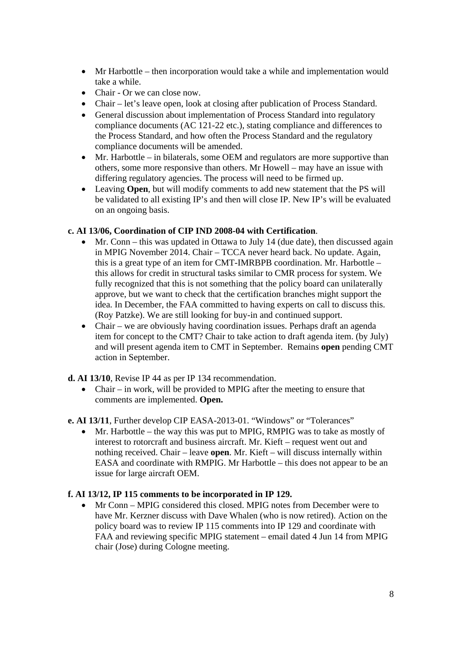- Mr Harbottle then incorporation would take a while and implementation would take a while.
- Chair Or we can close now.
- Chair let's leave open, look at closing after publication of Process Standard.
- General discussion about implementation of Process Standard into regulatory compliance documents (AC 121-22 etc.), stating compliance and differences to the Process Standard, and how often the Process Standard and the regulatory compliance documents will be amended.
- Mr. Harbottle in bilaterals, some OEM and regulators are more supportive than others, some more responsive than others. Mr Howell – may have an issue with differing regulatory agencies. The process will need to be firmed up.
- Leaving **Open**, but will modify comments to add new statement that the PS will be validated to all existing IP's and then will close IP. New IP's will be evaluated on an ongoing basis.

### **c. AI 13/06, Coordination of CIP IND 2008-04 with Certification**.

- Mr. Conn this was updated in Ottawa to July 14 (due date), then discussed again in MPIG November 2014. Chair – TCCA never heard back. No update. Again, this is a great type of an item for CMT-IMRBPB coordination. Mr. Harbottle – this allows for credit in structural tasks similar to CMR process for system. We fully recognized that this is not something that the policy board can unilaterally approve, but we want to check that the certification branches might support the idea. In December, the FAA committed to having experts on call to discuss this. (Roy Patzke). We are still looking for buy-in and continued support.
- Chair we are obviously having coordination issues. Perhaps draft an agenda item for concept to the CMT? Chair to take action to draft agenda item. (by July) and will present agenda item to CMT in September. Remains **open** pending CMT action in September.
- **d. AI 13/10**, Revise IP 44 as per IP 134 recommendation.
	- Chair in work, will be provided to MPIG after the meeting to ensure that comments are implemented. **Open.**

**e. AI 13/11**, Further develop CIP EASA-2013-01. "Windows" or "Tolerances"

 $\bullet$  Mr. Harbottle – the way this was put to MPIG, RMPIG was to take as mostly of interest to rotorcraft and business aircraft. Mr. Kieft – request went out and nothing received. Chair – leave **open**. Mr. Kieft – will discuss internally within EASA and coordinate with RMPIG. Mr Harbottle – this does not appear to be an issue for large aircraft OEM.

# **f. AI 13/12, IP 115 comments to be incorporated in IP 129.**

 Mr Conn – MPIG considered this closed. MPIG notes from December were to have Mr. Kerzner discuss with Dave Whalen (who is now retired). Action on the policy board was to review IP 115 comments into IP 129 and coordinate with FAA and reviewing specific MPIG statement – email dated 4 Jun 14 from MPIG chair (Jose) during Cologne meeting.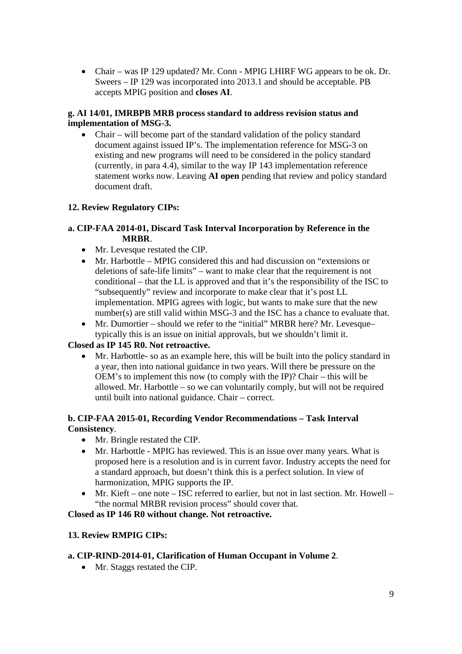Chair – was IP 129 updated? Mr. Conn - MPIG LHIRF WG appears to be ok. Dr. Sweers – IP 129 was incorporated into 2013.1 and should be acceptable. PB accepts MPIG position and **closes AI**.

### **g. AI 14/01, IMRBPB MRB process standard to address revision status and implementation of MSG-3.**

 Chair – will become part of the standard validation of the policy standard document against issued IP's. The implementation reference for MSG-3 on existing and new programs will need to be considered in the policy standard (currently, in para 4.4), similar to the way IP 143 implementation reference statement works now. Leaving **AI open** pending that review and policy standard document draft.

# **12. Review Regulatory CIPs:**

### **a. CIP-FAA 2014-01, Discard Task Interval Incorporation by Reference in the MRBR**.

- Mr. Levesque restated the CIP.
- Mr. Harbottle MPIG considered this and had discussion on "extensions or deletions of safe-life limits" – want to make clear that the requirement is not conditional – that the LL is approved and that it's the responsibility of the ISC to "subsequently" review and incorporate to make clear that it's post LL implementation. MPIG agrees with logic, but wants to make sure that the new number(s) are still valid within MSG-3 and the ISC has a chance to evaluate that.
- Mr. Dumortier should we refer to the "initial" MRBR here? Mr. Levesque– typically this is an issue on initial approvals, but we shouldn't limit it.

#### **Closed as IP 145 R0. Not retroactive.**

 Mr. Harbottle- so as an example here, this will be built into the policy standard in a year, then into national guidance in two years. Will there be pressure on the OEM's to implement this now (to comply with the IP)? Chair – this will be allowed. Mr. Harbottle – so we can voluntarily comply, but will not be required until built into national guidance. Chair – correct.

#### **b. CIP-FAA 2015-01, Recording Vendor Recommendations – Task Interval Consistency**.

- Mr. Bringle restated the CIP.
- Mr. Harbottle MPIG has reviewed. This is an issue over many years. What is proposed here is a resolution and is in current favor. Industry accepts the need for a standard approach, but doesn't think this is a perfect solution. In view of harmonization, MPIG supports the IP.
- Mr. Kieft one note ISC referred to earlier, but not in last section. Mr. Howell "the normal MRBR revision process" should cover that.

#### **Closed as IP 146 R0 without change. Not retroactive.**

#### **13. Review RMPIG CIPs:**

#### **a. CIP-RIND-2014-01, Clarification of Human Occupant in Volume 2**.

• Mr. Staggs restated the CIP.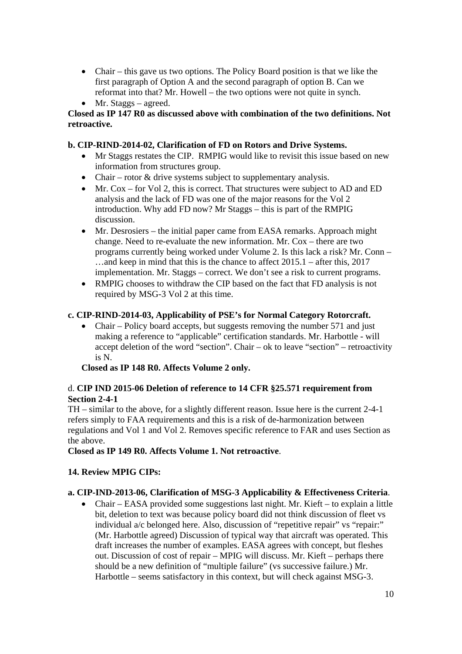- Chair this gave us two options. The Policy Board position is that we like the first paragraph of Option A and the second paragraph of option B. Can we reformat into that? Mr. Howell – the two options were not quite in synch.
- Mr. Staggs agreed.

### **Closed as IP 147 R0 as discussed above with combination of the two definitions. Not retroactive.**

### **b. CIP-RIND-2014-02, Clarification of FD on Rotors and Drive Systems.**

- Mr Staggs restates the CIP. RMPIG would like to revisit this issue based on new information from structures group.
- Chair rotor & drive systems subject to supplementary analysis.
- $\bullet$  Mr. Cox for Vol 2, this is correct. That structures were subject to AD and ED analysis and the lack of FD was one of the major reasons for the Vol 2 introduction. Why add FD now? Mr Staggs – this is part of the RMPIG discussion.
- Mr. Desrosiers the initial paper came from EASA remarks. Approach might change. Need to re-evaluate the new information. Mr. Cox – there are two programs currently being worked under Volume 2. Is this lack a risk? Mr. Conn – …and keep in mind that this is the chance to affect 2015.1 – after this, 2017 implementation. Mr. Staggs – correct. We don't see a risk to current programs.
- RMPIG chooses to withdraw the CIP based on the fact that FD analysis is not required by MSG-3 Vol 2 at this time.

### **c. CIP-RIND-2014-03, Applicability of PSE's for Normal Category Rotorcraft.**

• Chair – Policy board accepts, but suggests removing the number 571 and just making a reference to "applicable" certification standards. Mr. Harbottle - will accept deletion of the word "section". Chair – ok to leave "section" – retroactivity is N.

**Closed as IP 148 R0. Affects Volume 2 only.** 

### d. **CIP IND 2015-06 Deletion of reference to 14 CFR §25.571 requirement from Section 2-4-1**

TH – similar to the above, for a slightly different reason. Issue here is the current 2-4-1 refers simply to FAA requirements and this is a risk of de-harmonization between regulations and Vol 1 and Vol 2. Removes specific reference to FAR and uses Section as the above.

**Closed as IP 149 R0. Affects Volume 1. Not retroactive**.

# **14. Review MPIG CIPs:**

#### **a. CIP-IND-2013-06, Clarification of MSG-3 Applicability & Effectiveness Criteria**.

 Chair – EASA provided some suggestions last night. Mr. Kieft – to explain a little bit, deletion to text was because policy board did not think discussion of fleet vs individual a/c belonged here. Also, discussion of "repetitive repair" vs "repair:" (Mr. Harbottle agreed) Discussion of typical way that aircraft was operated. This draft increases the number of examples. EASA agrees with concept, but fleshes out. Discussion of cost of repair – MPIG will discuss. Mr. Kieft – perhaps there should be a new definition of "multiple failure" (vs successive failure.) Mr. Harbottle – seems satisfactory in this context, but will check against MSG-3.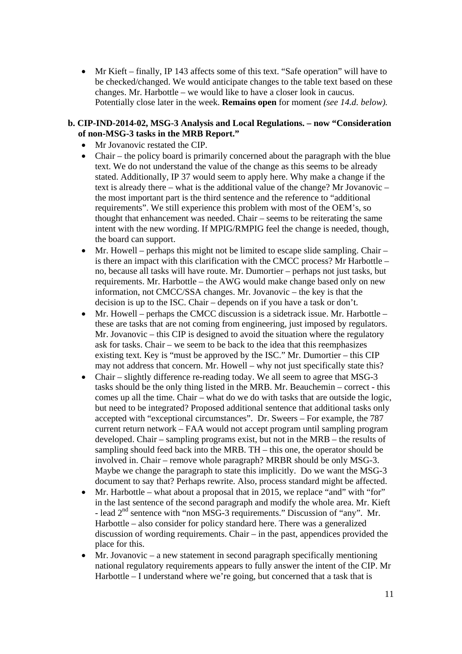Mr Kieft – finally, IP 143 affects some of this text. "Safe operation" will have to be checked/changed. We would anticipate changes to the table text based on these changes. Mr. Harbottle – we would like to have a closer look in caucus. Potentially close later in the week. **Remains open** for moment *(see 14.d. below).*

#### **b. CIP-IND-2014-02, MSG-3 Analysis and Local Regulations. – now "Consideration of non-MSG-3 tasks in the MRB Report."**

- Mr Jovanovic restated the CIP.
- Chair the policy board is primarily concerned about the paragraph with the blue text. We do not understand the value of the change as this seems to be already stated. Additionally, IP 37 would seem to apply here. Why make a change if the text is already there – what is the additional value of the change? Mr Jovanovic – the most important part is the third sentence and the reference to "additional requirements". We still experience this problem with most of the OEM's, so thought that enhancement was needed. Chair – seems to be reiterating the same intent with the new wording. If MPIG/RMPIG feel the change is needed, though, the board can support.
- $\bullet$  Mr. Howell perhaps this might not be limited to escape slide sampling. Chair is there an impact with this clarification with the CMCC process? Mr Harbottle – no, because all tasks will have route. Mr. Dumortier – perhaps not just tasks, but requirements. Mr. Harbottle – the AWG would make change based only on new information, not CMCC/SSA changes. Mr. Jovanovic – the key is that the decision is up to the ISC. Chair – depends on if you have a task or don't.
- Mr. Howell perhaps the CMCC discussion is a sidetrack issue. Mr. Harbottle these are tasks that are not coming from engineering, just imposed by regulators. Mr. Jovanovic – this CIP is designed to avoid the situation where the regulatory ask for tasks. Chair – we seem to be back to the idea that this reemphasizes existing text. Key is "must be approved by the ISC." Mr. Dumortier – this CIP may not address that concern. Mr. Howell – why not just specifically state this?
- Chair slightly difference re-reading today. We all seem to agree that MSG-3 tasks should be the only thing listed in the MRB. Mr. Beauchemin – correct - this comes up all the time. Chair – what do we do with tasks that are outside the logic, but need to be integrated? Proposed additional sentence that additional tasks only accepted with "exceptional circumstances". Dr. Sweers – For example, the 787 current return network – FAA would not accept program until sampling program developed. Chair – sampling programs exist, but not in the MRB – the results of sampling should feed back into the MRB. TH – this one, the operator should be involved in. Chair – remove whole paragraph? MRBR should be only MSG-3. Maybe we change the paragraph to state this implicitly. Do we want the MSG-3 document to say that? Perhaps rewrite. Also, process standard might be affected.
- Mr. Harbottle what about a proposal that in 2015, we replace "and" with "for" in the last sentence of the second paragraph and modify the whole area. Mr. Kieft - lead  $2<sup>nd</sup>$  sentence with "non MSG-3 requirements." Discussion of "any". Mr. Harbottle – also consider for policy standard here. There was a generalized discussion of wording requirements. Chair – in the past, appendices provided the place for this.
- Mr. Jovanovic a new statement in second paragraph specifically mentioning national regulatory requirements appears to fully answer the intent of the CIP. Mr Harbottle – I understand where we're going, but concerned that a task that is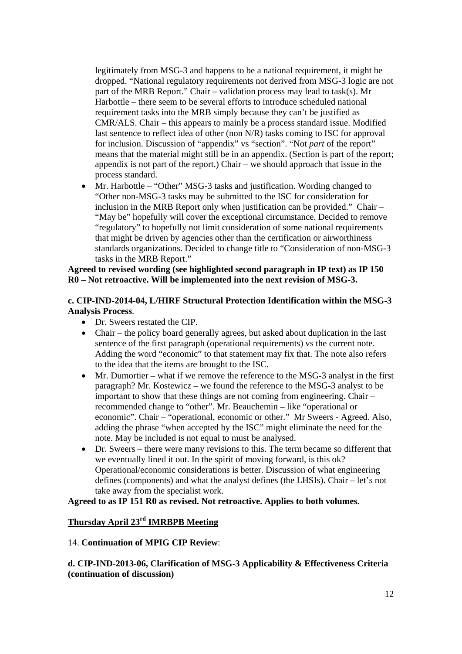legitimately from MSG-3 and happens to be a national requirement, it might be dropped. "National regulatory requirements not derived from MSG-3 logic are not part of the MRB Report." Chair – validation process may lead to task(s). Mr Harbottle – there seem to be several efforts to introduce scheduled national requirement tasks into the MRB simply because they can't be justified as CMR/ALS. Chair – this appears to mainly be a process standard issue. Modified last sentence to reflect idea of other (non N/R) tasks coming to ISC for approval for inclusion. Discussion of "appendix" vs "section". "Not *part* of the report" means that the material might still be in an appendix. (Section is part of the report; appendix is not part of the report.) Chair – we should approach that issue in the process standard.

• Mr. Harbottle – "Other" MSG-3 tasks and justification. Wording changed to "Other non-MSG-3 tasks may be submitted to the ISC for consideration for inclusion in the MRB Report only when justification can be provided." Chair – "May be" hopefully will cover the exceptional circumstance. Decided to remove "regulatory" to hopefully not limit consideration of some national requirements that might be driven by agencies other than the certification or airworthiness standards organizations. Decided to change title to "Consideration of non-MSG-3 tasks in the MRB Report."

#### **Agreed to revised wording (see highlighted second paragraph in IP text) as IP 150 R0 – Not retroactive. Will be implemented into the next revision of MSG-3.**

**c. CIP-IND-2014-04, L/HIRF Structural Protection Identification within the MSG-3 Analysis Process**.

- Dr. Sweers restated the CIP.
- Chair the policy board generally agrees, but asked about duplication in the last sentence of the first paragraph (operational requirements) vs the current note. Adding the word "economic" to that statement may fix that. The note also refers to the idea that the items are brought to the ISC.
- Mr. Dumortier what if we remove the reference to the MSG-3 analyst in the first paragraph? Mr. Kostewicz – we found the reference to the MSG-3 analyst to be important to show that these things are not coming from engineering. Chair – recommended change to "other". Mr. Beauchemin – like "operational or economic". Chair – "operational, economic or other." Mr Sweers - Agreed. Also, adding the phrase "when accepted by the ISC" might eliminate the need for the note. May be included is not equal to must be analysed.
- Dr. Sweers there were many revisions to this. The term became so different that we eventually lined it out. In the spirit of moving forward, is this ok? Operational/economic considerations is better. Discussion of what engineering defines (components) and what the analyst defines (the LHSIs). Chair – let's not take away from the specialist work.

#### **Agreed to as IP 151 R0 as revised. Not retroactive. Applies to both volumes.**

### **Thursday April 23rd IMRBPB Meeting**

#### 14. **Continuation of MPIG CIP Review**:

**d. CIP-IND-2013-06, Clarification of MSG-3 Applicability & Effectiveness Criteria (continuation of discussion)**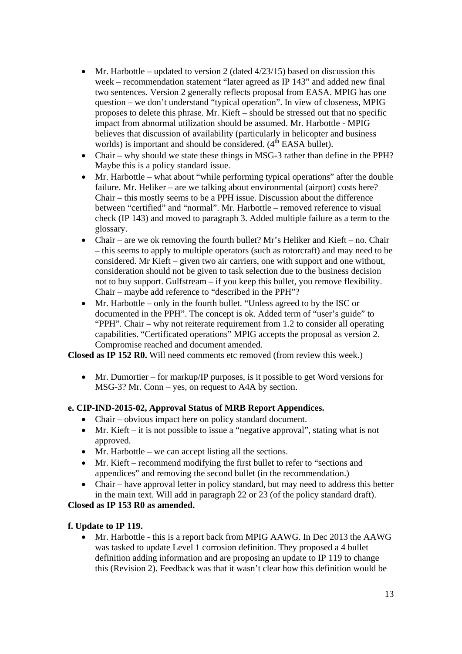- Mr. Harbottle updated to version 2 (dated  $4/23/15$ ) based on discussion this week – recommendation statement "later agreed as IP 143" and added new final two sentences. Version 2 generally reflects proposal from EASA. MPIG has one question – we don't understand "typical operation". In view of closeness, MPIG proposes to delete this phrase. Mr. Kieft – should be stressed out that no specific impact from abnormal utilization should be assumed. Mr. Harbottle - MPIG believes that discussion of availability (particularly in helicopter and business worlds) is important and should be considered.  $(4<sup>th</sup> EASA$  bullet).
- Chair why should we state these things in MSG-3 rather than define in the PPH? Maybe this is a policy standard issue.
- Mr. Harbottle what about "while performing typical operations" after the double failure. Mr. Heliker – are we talking about environmental (airport) costs here? Chair – this mostly seems to be a PPH issue. Discussion about the difference between "certified" and "normal". Mr. Harbottle – removed reference to visual check (IP 143) and moved to paragraph 3. Added multiple failure as a term to the glossary.
- Chair are we ok removing the fourth bullet? Mr's Heliker and Kieft no. Chair – this seems to apply to multiple operators (such as rotorcraft) and may need to be considered. Mr Kieft – given two air carriers, one with support and one without, consideration should not be given to task selection due to the business decision not to buy support. Gulfstream – if you keep this bullet, you remove flexibility. Chair – maybe add reference to "described in the PPH"?
- Mr. Harbottle only in the fourth bullet. "Unless agreed to by the ISC or documented in the PPH". The concept is ok. Added term of "user's guide" to "PPH". Chair – why not reiterate requirement from 1.2 to consider all operating capabilities. "Certificated operations" MPIG accepts the proposal as version 2. Compromise reached and document amended.

**Closed as IP 152 R0.** Will need comments etc removed (from review this week.)

 $\bullet$  Mr. Dumortier – for markup/IP purposes, is it possible to get Word versions for MSG-3? Mr. Conn – yes, on request to A4A by section.

# **e. CIP-IND-2015-02, Approval Status of MRB Report Appendices.**

- Chair obvious impact here on policy standard document.
- Mr. Kieft it is not possible to issue a "negative approval", stating what is not approved.
- Mr. Harbottle we can accept listing all the sections.
- Mr. Kieft recommend modifying the first bullet to refer to "sections and appendices" and removing the second bullet (in the recommendation.)
- Chair have approval letter in policy standard, but may need to address this better in the main text. Will add in paragraph 22 or 23 (of the policy standard draft).

# **Closed as IP 153 R0 as amended.**

#### **f. Update to IP 119.**

 Mr. Harbottle - this is a report back from MPIG AAWG. In Dec 2013 the AAWG was tasked to update Level 1 corrosion definition. They proposed a 4 bullet definition adding information and are proposing an update to IP 119 to change this (Revision 2). Feedback was that it wasn't clear how this definition would be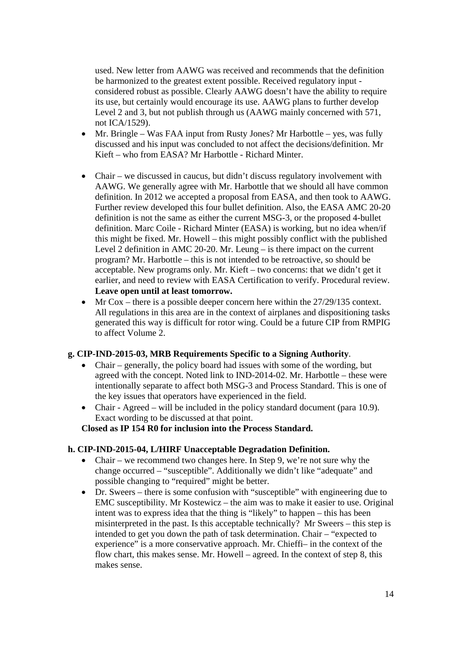used. New letter from AAWG was received and recommends that the definition be harmonized to the greatest extent possible. Received regulatory input considered robust as possible. Clearly AAWG doesn't have the ability to require its use, but certainly would encourage its use. AAWG plans to further develop Level 2 and 3, but not publish through us (AAWG mainly concerned with 571, not ICA/1529).

- Mr. Bringle Was FAA input from Rusty Jones? Mr Harbottle yes, was fully discussed and his input was concluded to not affect the decisions/definition. Mr Kieft – who from EASA? Mr Harbottle - Richard Minter.
- Chair we discussed in caucus, but didn't discuss regulatory involvement with AAWG. We generally agree with Mr. Harbottle that we should all have common definition. In 2012 we accepted a proposal from EASA, and then took to AAWG. Further review developed this four bullet definition. Also, the EASA AMC 20-20 definition is not the same as either the current MSG-3, or the proposed 4-bullet definition. Marc Coile - Richard Minter (EASA) is working, but no idea when/if this might be fixed. Mr. Howell – this might possibly conflict with the published Level 2 definition in AMC 20-20. Mr. Leung – is there impact on the current program? Mr. Harbottle – this is not intended to be retroactive, so should be acceptable. New programs only. Mr. Kieft – two concerns: that we didn't get it earlier, and need to review with EASA Certification to verify. Procedural review. **Leave open until at least tomorrow.**
- $\bullet$  Mr Cox there is a possible deeper concern here within the 27/29/135 context. All regulations in this area are in the context of airplanes and dispositioning tasks generated this way is difficult for rotor wing. Could be a future CIP from RMPIG to affect Volume 2.

#### **g. CIP-IND-2015-03, MRB Requirements Specific to a Signing Authority**.

- Chair generally, the policy board had issues with some of the wording, but agreed with the concept. Noted link to IND-2014-02. Mr. Harbottle – these were intentionally separate to affect both MSG-3 and Process Standard. This is one of the key issues that operators have experienced in the field.
- Chair Agreed will be included in the policy standard document (para 10.9). Exact wording to be discussed at that point.

#### **Closed as IP 154 R0 for inclusion into the Process Standard.**

#### **h. CIP-IND-2015-04, L/HIRF Unacceptable Degradation Definition.**

- Chair we recommend two changes here. In Step 9, we're not sure why the change occurred – "susceptible". Additionally we didn't like "adequate" and possible changing to "required" might be better.
- Dr. Sweers there is some confusion with "susceptible" with engineering due to EMC susceptibility. Mr Kostewicz – the aim was to make it easier to use. Original intent was to express idea that the thing is "likely" to happen – this has been misinterpreted in the past. Is this acceptable technically? Mr Sweers – this step is intended to get you down the path of task determination. Chair – "expected to experience" is a more conservative approach. Mr. Chieffi– in the context of the flow chart, this makes sense. Mr. Howell – agreed. In the context of step 8, this makes sense.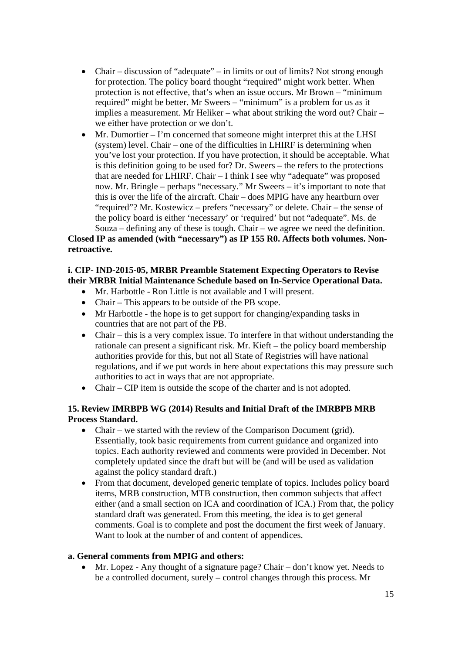- Chair discussion of "adequate" in limits or out of limits? Not strong enough for protection. The policy board thought "required" might work better. When protection is not effective, that's when an issue occurs. Mr Brown – "minimum required" might be better. Mr Sweers – "minimum" is a problem for us as it implies a measurement. Mr Heliker – what about striking the word out? Chair – we either have protection or we don't.
- Mr. Dumortier I'm concerned that someone might interpret this at the LHSI (system) level. Chair – one of the difficulties in LHIRF is determining when you've lost your protection. If you have protection, it should be acceptable. What is this definition going to be used for? Dr. Sweers – the refers to the protections that are needed for LHIRF. Chair – I think I see why "adequate" was proposed now. Mr. Bringle – perhaps "necessary." Mr Sweers – it's important to note that this is over the life of the aircraft. Chair – does MPIG have any heartburn over "required"? Mr. Kostewicz – prefers "necessary" or delete. Chair – the sense of the policy board is either 'necessary' or 'required' but not "adequate". Ms. de Souza – defining any of these is tough. Chair – we agree we need the definition.

# **Closed IP as amended (with "necessary") as IP 155 R0. Affects both volumes. Nonretroactive.**

# **i. CIP- IND-2015-05, MRBR Preamble Statement Expecting Operators to Revise their MRBR Initial Maintenance Schedule based on In-Service Operational Data.**

- Mr. Harbottle Ron Little is not available and I will present.
- Chair This appears to be outside of the PB scope.
- Mr Harbottle the hope is to get support for changing/expanding tasks in countries that are not part of the PB.
- Chair this is a very complex issue. To interfere in that without understanding the rationale can present a significant risk. Mr. Kieft – the policy board membership authorities provide for this, but not all State of Registries will have national regulations, and if we put words in here about expectations this may pressure such authorities to act in ways that are not appropriate.
- Chair CIP item is outside the scope of the charter and is not adopted.

### **15. Review IMRBPB WG (2014) Results and Initial Draft of the IMRBPB MRB Process Standard.**

- Chair we started with the review of the Comparison Document (grid). Essentially, took basic requirements from current guidance and organized into topics. Each authority reviewed and comments were provided in December. Not completely updated since the draft but will be (and will be used as validation against the policy standard draft.)
- From that document, developed generic template of topics. Includes policy board items, MRB construction, MTB construction, then common subjects that affect either (and a small section on ICA and coordination of ICA.) From that, the policy standard draft was generated. From this meeting, the idea is to get general comments. Goal is to complete and post the document the first week of January. Want to look at the number of and content of appendices.

# **a. General comments from MPIG and others:**

 Mr. Lopez - Any thought of a signature page? Chair – don't know yet. Needs to be a controlled document, surely – control changes through this process. Mr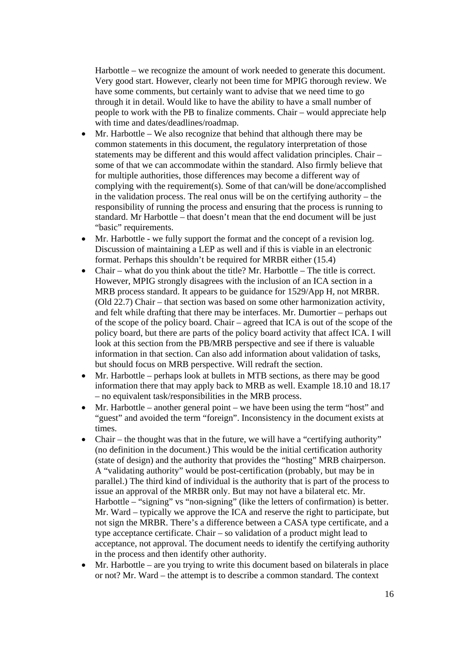Harbottle – we recognize the amount of work needed to generate this document. Very good start. However, clearly not been time for MPIG thorough review. We have some comments, but certainly want to advise that we need time to go through it in detail. Would like to have the ability to have a small number of people to work with the PB to finalize comments. Chair – would appreciate help with time and dates/deadlines/roadmap.

- Mr. Harbottle We also recognize that behind that although there may be common statements in this document, the regulatory interpretation of those statements may be different and this would affect validation principles. Chair – some of that we can accommodate within the standard. Also firmly believe that for multiple authorities, those differences may become a different way of complying with the requirement(s). Some of that can/will be done/accomplished in the validation process. The real onus will be on the certifying authority – the responsibility of running the process and ensuring that the process is running to standard. Mr Harbottle – that doesn't mean that the end document will be just "basic" requirements.
- Mr. Harbottle we fully support the format and the concept of a revision log. Discussion of maintaining a LEP as well and if this is viable in an electronic format. Perhaps this shouldn't be required for MRBR either (15.4)
- Chair what do you think about the title? Mr. Harbottle The title is correct. However, MPIG strongly disagrees with the inclusion of an ICA section in a MRB process standard. It appears to be guidance for 1529/App H, not MRBR. (Old 22.7) Chair – that section was based on some other harmonization activity, and felt while drafting that there may be interfaces. Mr. Dumortier – perhaps out of the scope of the policy board. Chair – agreed that ICA is out of the scope of the policy board, but there are parts of the policy board activity that affect ICA. I will look at this section from the PB/MRB perspective and see if there is valuable information in that section. Can also add information about validation of tasks, but should focus on MRB perspective. Will redraft the section.
- Mr. Harbottle perhaps look at bullets in MTB sections, as there may be good information there that may apply back to MRB as well. Example 18.10 and 18.17 – no equivalent task/responsibilities in the MRB process.
- Mr. Harbottle another general point we have been using the term "host" and "guest" and avoided the term "foreign". Inconsistency in the document exists at times.
- Chair the thought was that in the future, we will have a "certifying authority" (no definition in the document.) This would be the initial certification authority (state of design) and the authority that provides the "hosting" MRB chairperson. A "validating authority" would be post-certification (probably, but may be in parallel.) The third kind of individual is the authority that is part of the process to issue an approval of the MRBR only. But may not have a bilateral etc. Mr. Harbottle – "signing" vs "non-signing" (like the letters of confirmation) is better. Mr. Ward – typically we approve the ICA and reserve the right to participate, but not sign the MRBR. There's a difference between a CASA type certificate, and a type acceptance certificate. Chair – so validation of a product might lead to acceptance, not approval. The document needs to identify the certifying authority in the process and then identify other authority.
- $\bullet$  Mr. Harbottle are you trying to write this document based on bilaterals in place or not? Mr. Ward – the attempt is to describe a common standard. The context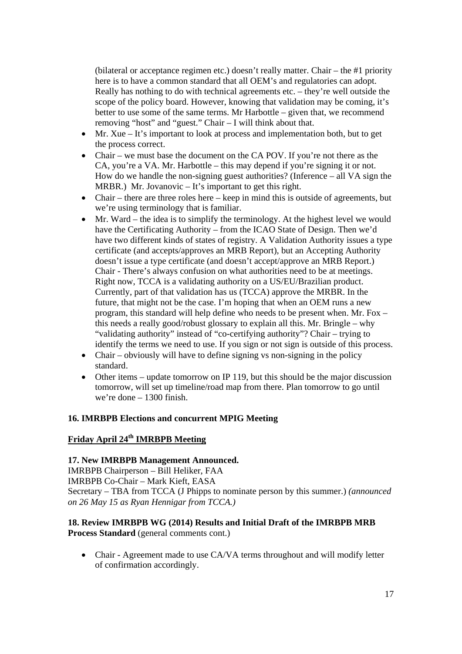(bilateral or acceptance regimen etc.) doesn't really matter. Chair – the #1 priority here is to have a common standard that all OEM's and regulatories can adopt. Really has nothing to do with technical agreements etc. – they're well outside the scope of the policy board. However, knowing that validation may be coming, it's better to use some of the same terms. Mr Harbottle – given that, we recommend removing "host" and "guest." Chair – I will think about that.

- Mr. Xue It's important to look at process and implementation both, but to get the process correct.
- Chair we must base the document on the CA POV. If you're not there as the CA, you're a VA. Mr. Harbottle – this may depend if you're signing it or not. How do we handle the non-signing guest authorities? (Inference – all VA sign the MRBR.) Mr. Jovanovic – It's important to get this right.
- Chair there are three roles here keep in mind this is outside of agreements, but we're using terminology that is familiar.
- $\bullet$  Mr. Ward the idea is to simplify the terminology. At the highest level we would have the Certificating Authority – from the ICAO State of Design. Then we'd have two different kinds of states of registry. A Validation Authority issues a type certificate (and accepts/approves an MRB Report), but an Accepting Authority doesn't issue a type certificate (and doesn't accept/approve an MRB Report.) Chair - There's always confusion on what authorities need to be at meetings. Right now, TCCA is a validating authority on a US/EU/Brazilian product. Currently, part of that validation has us (TCCA) approve the MRBR. In the future, that might not be the case. I'm hoping that when an OEM runs a new program, this standard will help define who needs to be present when. Mr. Fox – this needs a really good/robust glossary to explain all this. Mr. Bringle – why "validating authority" instead of "co-certifying authority"? Chair – trying to identify the terms we need to use. If you sign or not sign is outside of this process.
- Chair obviously will have to define signing vs non-signing in the policy standard.
- $\bullet$  Other items update tomorrow on IP 119, but this should be the major discussion tomorrow, will set up timeline/road map from there. Plan tomorrow to go until we're done – 1300 finish.

#### **16. IMRBPB Elections and concurrent MPIG Meeting**

# **Friday April 24th IMRBPB Meeting**

#### **17. New IMRBPB Management Announced.**

IMRBPB Chairperson – Bill Heliker, FAA IMRBPB Co-Chair – Mark Kieft, EASA Secretary – TBA from TCCA (J Phipps to nominate person by this summer.) *(announced on 26 May 15 as Ryan Hennigar from TCCA.)* 

### **18. Review IMRBPB WG (2014) Results and Initial Draft of the IMRBPB MRB Process Standard** (general comments cont.)

• Chair - Agreement made to use CA/VA terms throughout and will modify letter of confirmation accordingly.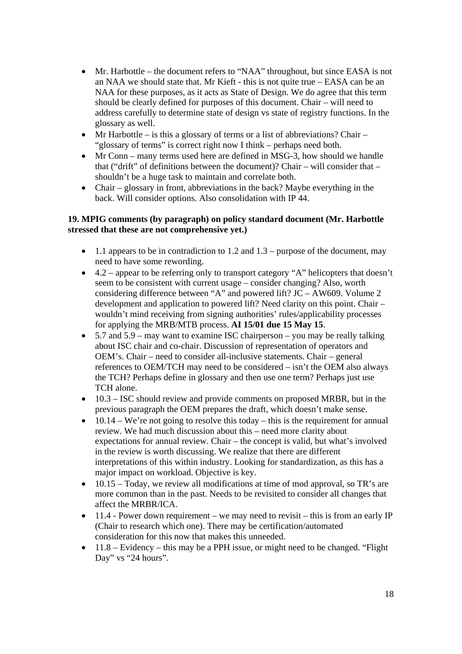- Mr. Harbottle the document refers to "NAA" throughout, but since EASA is not an NAA we should state that. Mr Kieft - this is not quite true – EASA can be an NAA for these purposes, as it acts as State of Design. We do agree that this term should be clearly defined for purposes of this document. Chair – will need to address carefully to determine state of design vs state of registry functions. In the glossary as well.
- Mr Harbottle is this a glossary of terms or a list of abbreviations? Chair "glossary of terms" is correct right now I think – perhaps need both.
- Mr Conn many terms used here are defined in MSG-3, how should we handle that ("drift" of definitions between the document)? Chair – will consider that – shouldn't be a huge task to maintain and correlate both.
- Chair glossary in front, abbreviations in the back? Maybe everything in the back. Will consider options. Also consolidation with IP 44.

### **19. MPIG comments (by paragraph) on policy standard document (Mr. Harbottle stressed that these are not comprehensive yet.)**

- $\bullet$  1.1 appears to be in contradiction to 1.2 and 1.3 purpose of the document, may need to have some rewording.
- $\bullet$  4.2 appear to be referring only to transport category "A" helicopters that doesn't seem to be consistent with current usage – consider changing? Also, worth considering difference between "A" and powered lift? JC – AW609. Volume 2 development and application to powered lift? Need clarity on this point. Chair – wouldn't mind receiving from signing authorities' rules/applicability processes for applying the MRB/MTB process. **AI 15/01 due 15 May 15**.
- $\bullet$  5.7 and 5.9 may want to examine ISC chairperson you may be really talking about ISC chair and co-chair. Discussion of representation of operators and OEM's. Chair – need to consider all-inclusive statements. Chair – general references to OEM/TCH may need to be considered – isn't the OEM also always the TCH? Perhaps define in glossary and then use one term? Perhaps just use TCH alone.
- $\bullet$  10.3 ISC should review and provide comments on proposed MRBR, but in the previous paragraph the OEM prepares the draft, which doesn't make sense.
- $\bullet$  10.14 We're not going to resolve this today this is the requirement for annual review. We had much discussion about this – need more clarity about expectations for annual review. Chair – the concept is valid, but what's involved in the review is worth discussing. We realize that there are different interpretations of this within industry. Looking for standardization, as this has a major impact on workload. Objective is key.
- $\bullet$  10.15 Today, we review all modifications at time of mod approval, so TR's are more common than in the past. Needs to be revisited to consider all changes that affect the MRBR/ICA.
- $\bullet$  11.4 Power down requirement we may need to revisit this is from an early IP (Chair to research which one). There may be certification/automated consideration for this now that makes this unneeded.
- $\bullet$  11.8 Evidency this may be a PPH issue, or might need to be changed. "Flight" Day" vs "24 hours".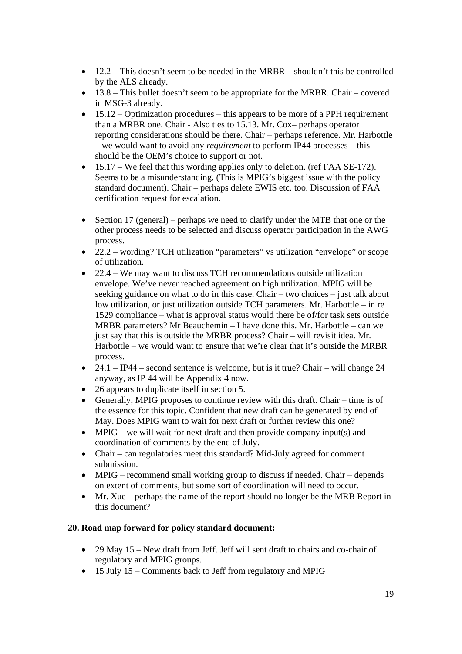- $\bullet$  12.2 This doesn't seem to be needed in the MRBR shouldn't this be controlled by the ALS already.
- $\bullet$  13.8 This bullet doesn't seem to be appropriate for the MRBR. Chair covered in MSG-3 already.
- $\bullet$  15.12 Optimization procedures this appears to be more of a PPH requirement than a MRBR one. Chair - Also ties to 15.13. Mr. Cox– perhaps operator reporting considerations should be there. Chair – perhaps reference. Mr. Harbottle – we would want to avoid any *requirement* to perform IP44 processes – this should be the OEM's choice to support or not.
- $\bullet$  15.17 We feel that this wording applies only to deletion. (ref FAA SE-172). Seems to be a misunderstanding. (This is MPIG's biggest issue with the policy standard document). Chair – perhaps delete EWIS etc. too. Discussion of FAA certification request for escalation.
- $\bullet$  Section 17 (general) perhaps we need to clarify under the MTB that one or the other process needs to be selected and discuss operator participation in the AWG process.
- 22.2 wording? TCH utilization "parameters" vs utilization "envelope" or scope of utilization.
- 22.4 We may want to discuss TCH recommendations outside utilization envelope. We've never reached agreement on high utilization. MPIG will be seeking guidance on what to do in this case. Chair – two choices – just talk about low utilization, or just utilization outside TCH parameters. Mr. Harbottle – in re 1529 compliance – what is approval status would there be of/for task sets outside MRBR parameters? Mr Beauchemin – I have done this. Mr. Harbottle – can we just say that this is outside the MRBR process? Chair – will revisit idea. Mr. Harbottle – we would want to ensure that we're clear that it's outside the MRBR process.
- 24.1 IP44 second sentence is welcome, but is it true? Chair will change 24 anyway, as IP 44 will be Appendix 4 now.
- 26 appears to duplicate itself in section 5.
- Generally, MPIG proposes to continue review with this draft. Chair time is of the essence for this topic. Confident that new draft can be generated by end of May. Does MPIG want to wait for next draft or further review this one?
- $\bullet$  MPIG we will wait for next draft and then provide company input(s) and coordination of comments by the end of July.
- Chair can regulatories meet this standard? Mid-July agreed for comment submission.
- MPIG recommend small working group to discuss if needed. Chair depends on extent of comments, but some sort of coordination will need to occur.
- Mr. Xue perhaps the name of the report should no longer be the MRB Report in this document?

# **20. Road map forward for policy standard document:**

- 29 May 15 New draft from Jeff. Jeff will sent draft to chairs and co-chair of regulatory and MPIG groups.
- 15 July 15 Comments back to Jeff from regulatory and MPIG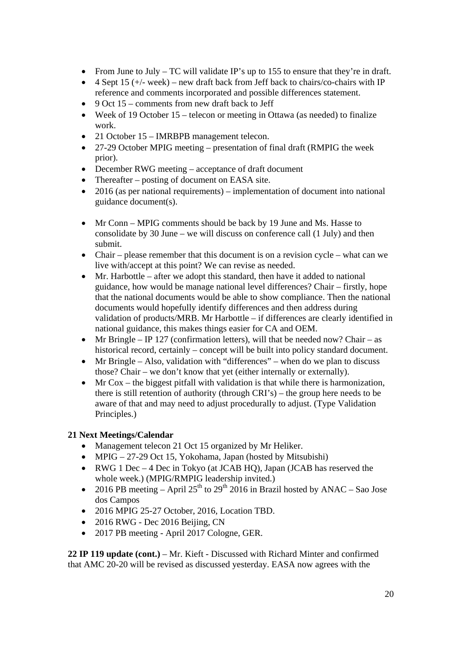- From June to July TC will validate IP's up to 155 to ensure that they're in draft.
- $\bullet$  4 Sept 15 (+/- week) new draft back from Jeff back to chairs/co-chairs with IP reference and comments incorporated and possible differences statement.
- $\bullet$  9 Oct 15 comments from new draft back to Jeff
- Week of 19 October 15 telecon or meeting in Ottawa (as needed) to finalize work.
- 21 October 15 IMRBPB management telecon.
- 27-29 October MPIG meeting presentation of final draft (RMPIG the week prior).
- December RWG meeting acceptance of draft document
- Thereafter posting of document on EASA site.
- 2016 (as per national requirements) implementation of document into national guidance document(s).
- Mr Conn MPIG comments should be back by 19 June and Ms. Hasse to consolidate by 30 June – we will discuss on conference call (1 July) and then submit.
- Chair please remember that this document is on a revision cycle what can we live with/accept at this point? We can revise as needed.
- Mr. Harbottle after we adopt this standard, then have it added to national guidance, how would be manage national level differences? Chair – firstly, hope that the national documents would be able to show compliance. Then the national documents would hopefully identify differences and then address during validation of products/MRB. Mr Harbottle – if differences are clearly identified in national guidance, this makes things easier for CA and OEM.
- Mr Bringle IP 127 (confirmation letters), will that be needed now? Chair as historical record, certainly – concept will be built into policy standard document.
- Mr Bringle Also, validation with "differences" when do we plan to discuss those? Chair – we don't know that yet (either internally or externally).
- $\bullet$  Mr Cox the biggest pitfall with validation is that while there is harmonization, there is still retention of authority (through CRI's) – the group here needs to be aware of that and may need to adjust procedurally to adjust. (Type Validation Principles.)

#### **21 Next Meetings/Calendar**

- Management telecon 21 Oct 15 organized by Mr Heliker.
- MPIG 27-29 Oct 15, Yokohama, Japan (hosted by Mitsubishi)
- RWG 1 Dec 4 Dec in Tokyo (at JCAB HQ), Japan (JCAB has reserved the whole week.) (MPIG/RMPIG leadership invited.)
- 2016 PB meeting April 25<sup>th</sup> to 29<sup>th</sup> 2016 in Brazil hosted by ANAC Sao Jose dos Campos
- 2016 MPIG 25-27 October, 2016, Location TBD.
- 2016 RWG Dec 2016 Beijing, CN
- 2017 PB meeting April 2017 Cologne, GER.

**22 IP 119 update (cont.)** – Mr. Kieft - Discussed with Richard Minter and confirmed that AMC 20-20 will be revised as discussed yesterday. EASA now agrees with the